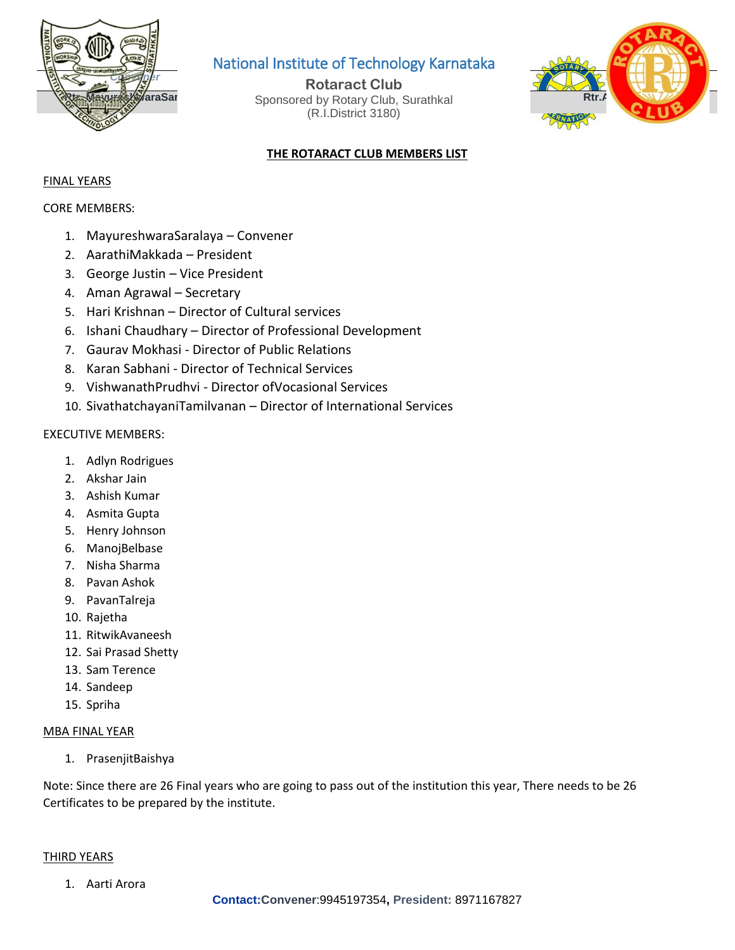

### National Institute of Technology Karnataka

**Rtr. Mayures/WaraSar Bustinian Sponsored by Rotary Club, Surathkal Rtr.Aman Agrawal Rotaract Club** (R.I.District 3180)



### **THE ROTARACT CLUB MEMBERS LIST**

#### FINAL YEARS

CORE MEMBERS:

- 1. MayureshwaraSaralaya Convener
- 2. AarathiMakkada President
- 3. George Justin Vice President
- 4. Aman Agrawal Secretary
- 5. Hari Krishnan Director of Cultural services
- 6. Ishani Chaudhary Director of Professional Development
- 7. Gaurav Mokhasi Director of Public Relations
- 8. Karan Sabhani Director of Technical Services
- 9. VishwanathPrudhvi Director ofVocasional Services
- 10. SivathatchayaniTamilvanan Director of International Services

#### EXECUTIVE MEMBERS:

- 1. Adlyn Rodrigues
- 2. Akshar Jain
- 3. Ashish Kumar
- 4. Asmita Gupta
- 5. Henry Johnson
- 6. ManojBelbase
- 7. Nisha Sharma
- 8. Pavan Ashok
- 9. PavanTalreja
- 10. Rajetha
- 11. RitwikAvaneesh
- 12. Sai Prasad Shetty
- 13. Sam Terence
- 14. Sandeep
- 15. Spriha

#### MBA FINAL YEAR

1. PrasenjitBaishya

Note: Since there are 26 Final years who are going to pass out of the institution this year, There needs to be 26 Certificates to be prepared by the institute.

#### THIRD YEARS

1. Aarti Arora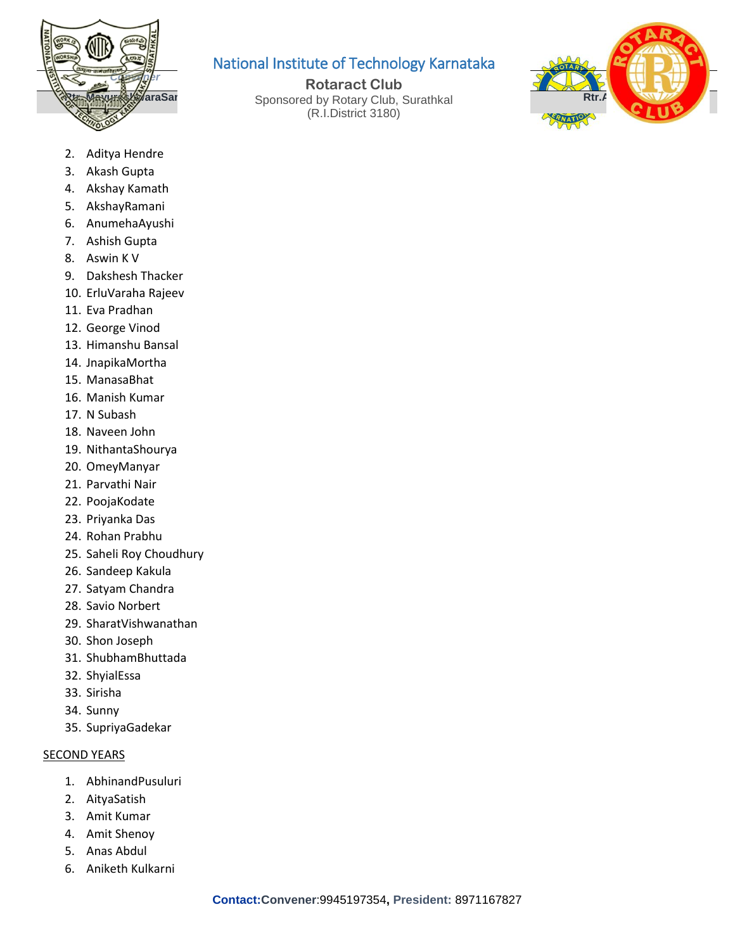

# National Institute of Technology Karnataka

**Rtr. Mayures/WaraSar Bustinian Sponsored by Rotary Club, Surathkal Rtr.Aman Agrawal Rotaract Club** (R.I.District 3180)



- 2. Aditya Hendre
- 3. Akash Gupta
- 4. Akshay Kamath
- 5. AkshayRamani
- 6. AnumehaAyushi
- 7. Ashish Gupta
- 8. Aswin K V
- 9. Dakshesh Thacker
- 10. ErluVaraha Rajeev
- 11. Eva Pradhan
- 12. George Vinod
- 13. Himanshu Bansal
- 14. JnapikaMortha
- 15. ManasaBhat
- 16. Manish Kumar
- 17. N Subash
- 18. Naveen John
- 19. NithantaShourya
- 20. OmeyManyar
- 21. Parvathi Nair
- 22. PoojaKodate
- 23. Priyanka Das
- 24. Rohan Prabhu
- 25. Saheli Roy Choudhury
- 26. Sandeep Kakula
- 27. Satyam Chandra
- 28. Savio Norbert
- 29. SharatVishwanathan
- 30. Shon Joseph
- 31. ShubhamBhuttada
- 32. ShyialEssa
- 33. Sirisha
- 34. Sunny
- 35. SupriyaGadekar

#### **SECOND YEARS**

- 1. AbhinandPusuluri
- 2. AityaSatish
- 3. Amit Kumar
- 4. Amit Shenoy
- 5. Anas Abdul
- 6. Aniketh Kulkarni